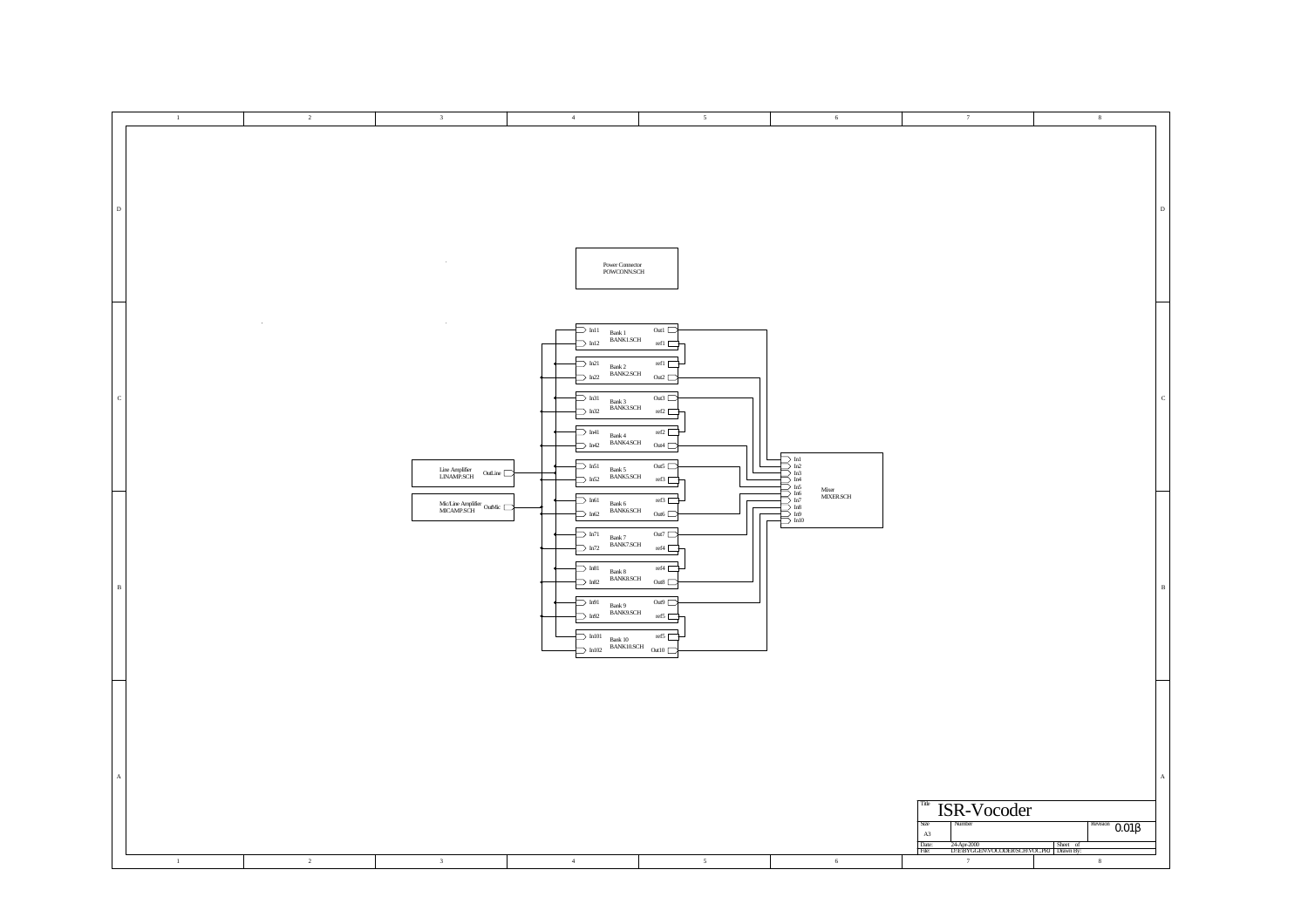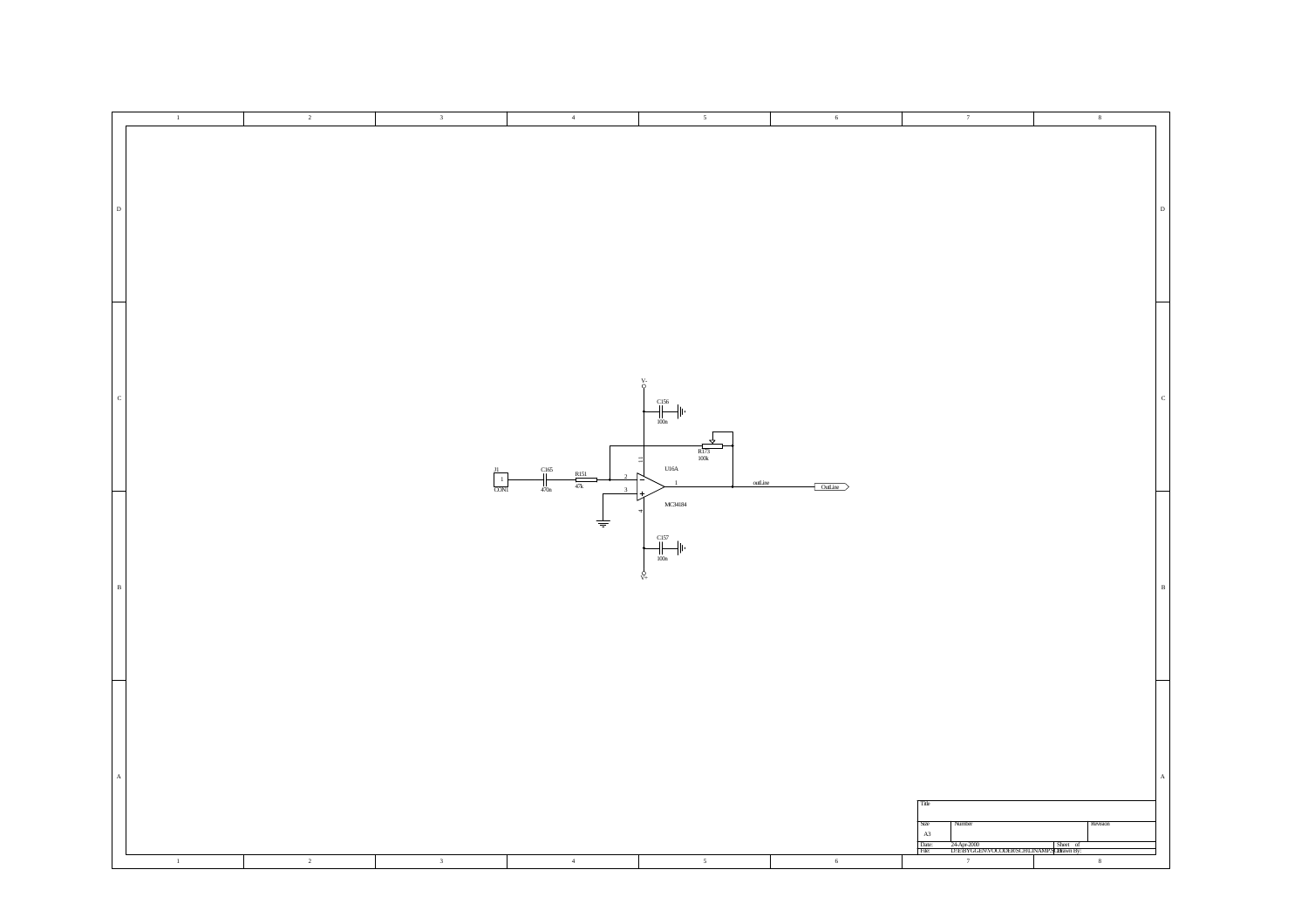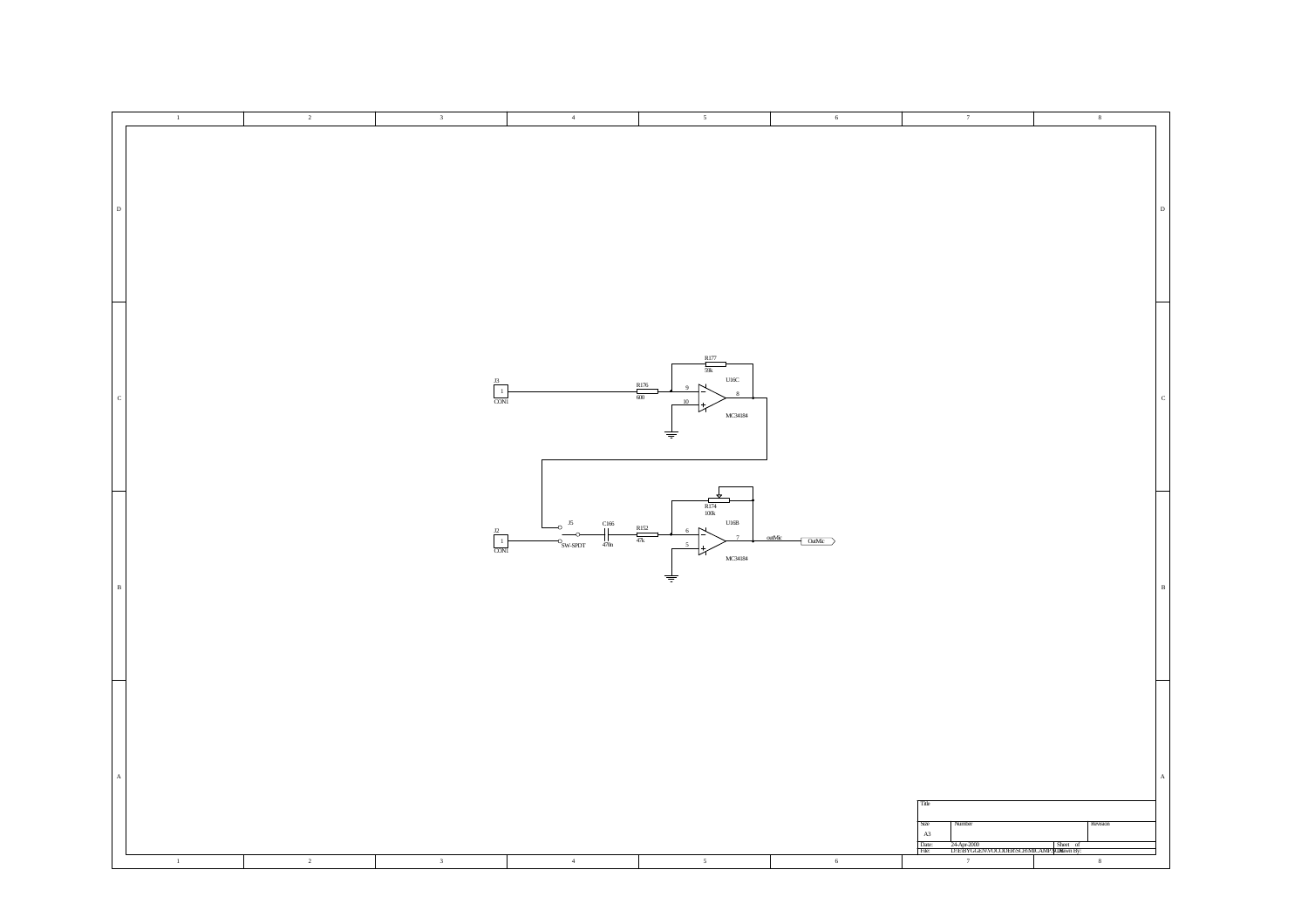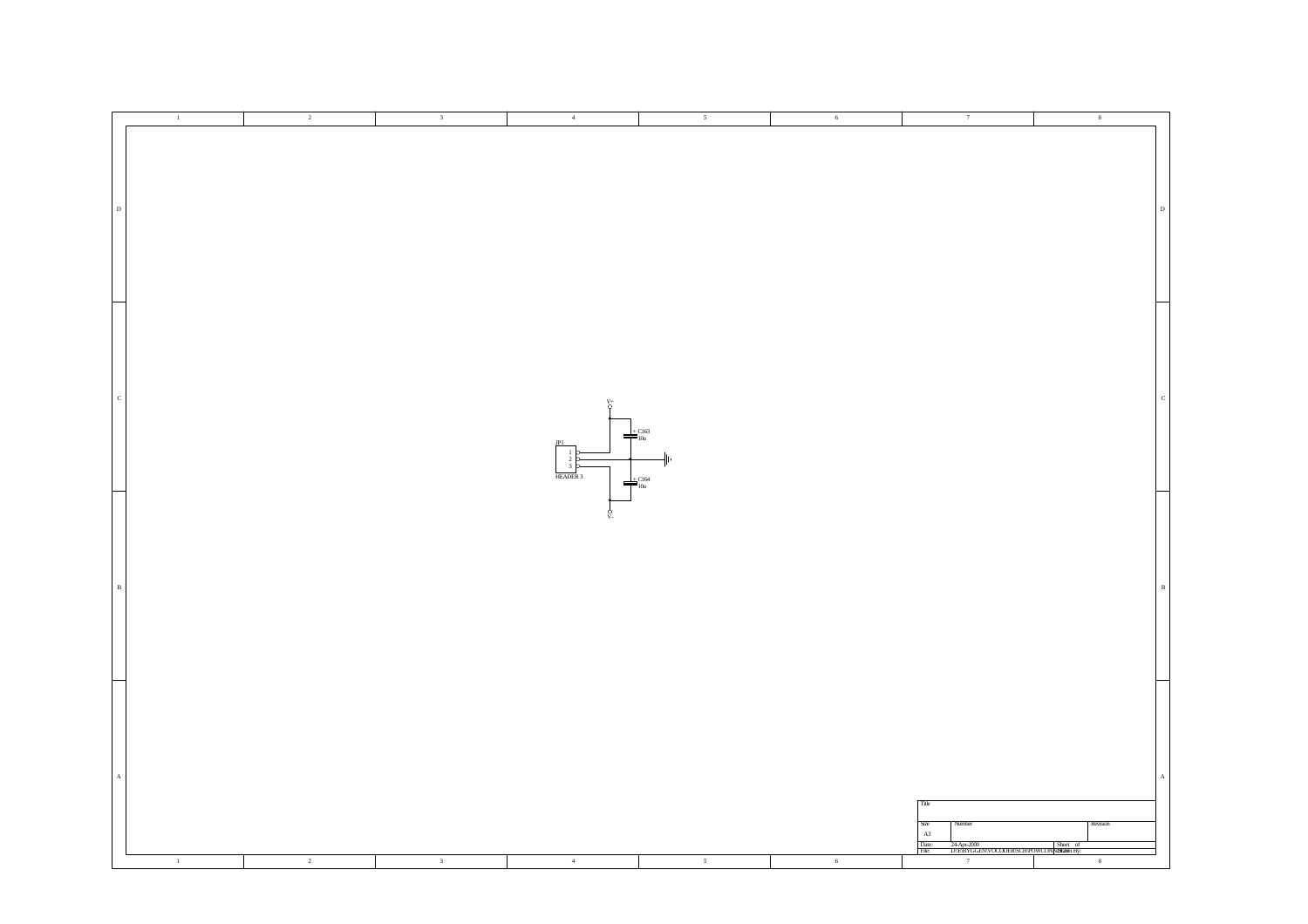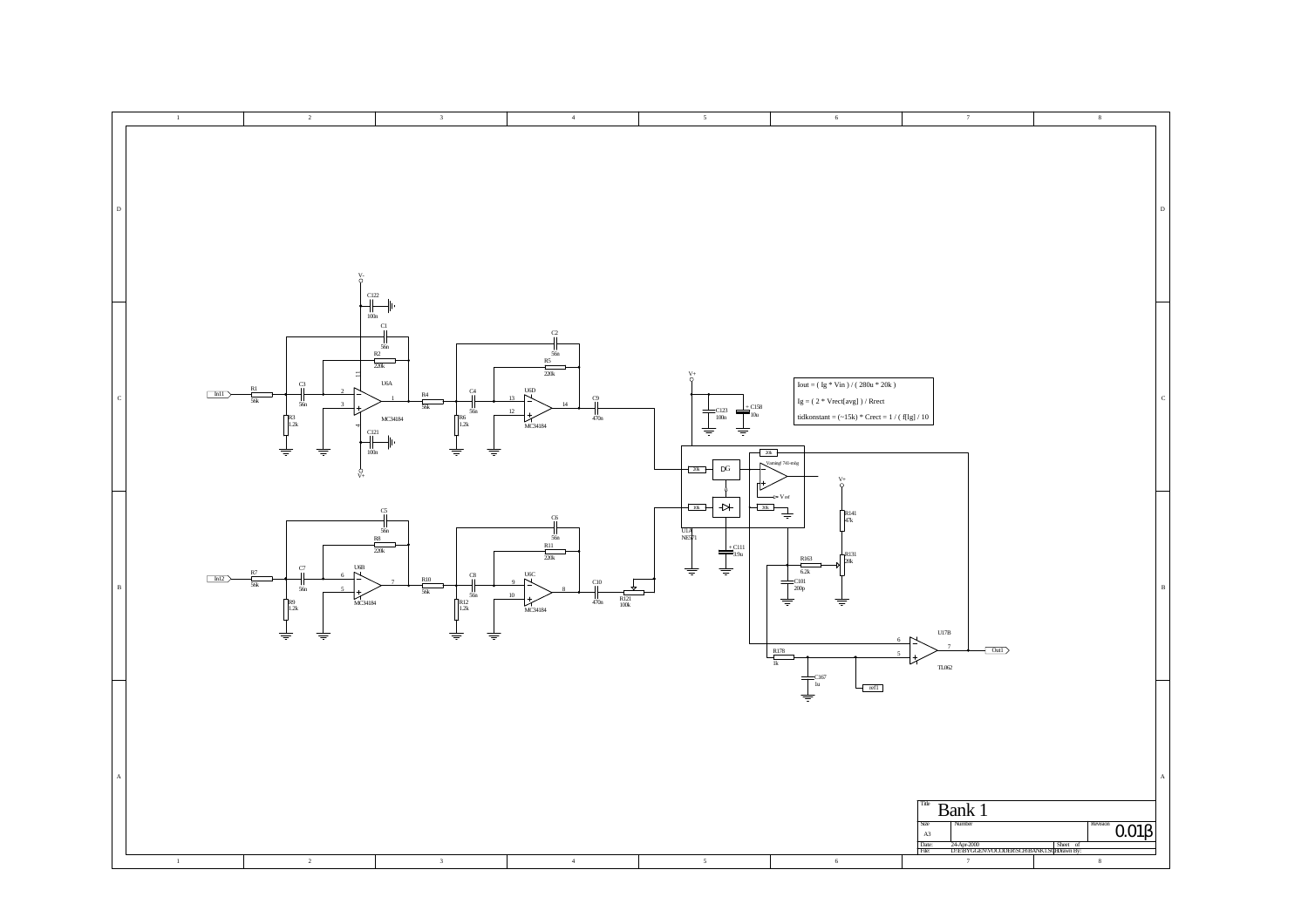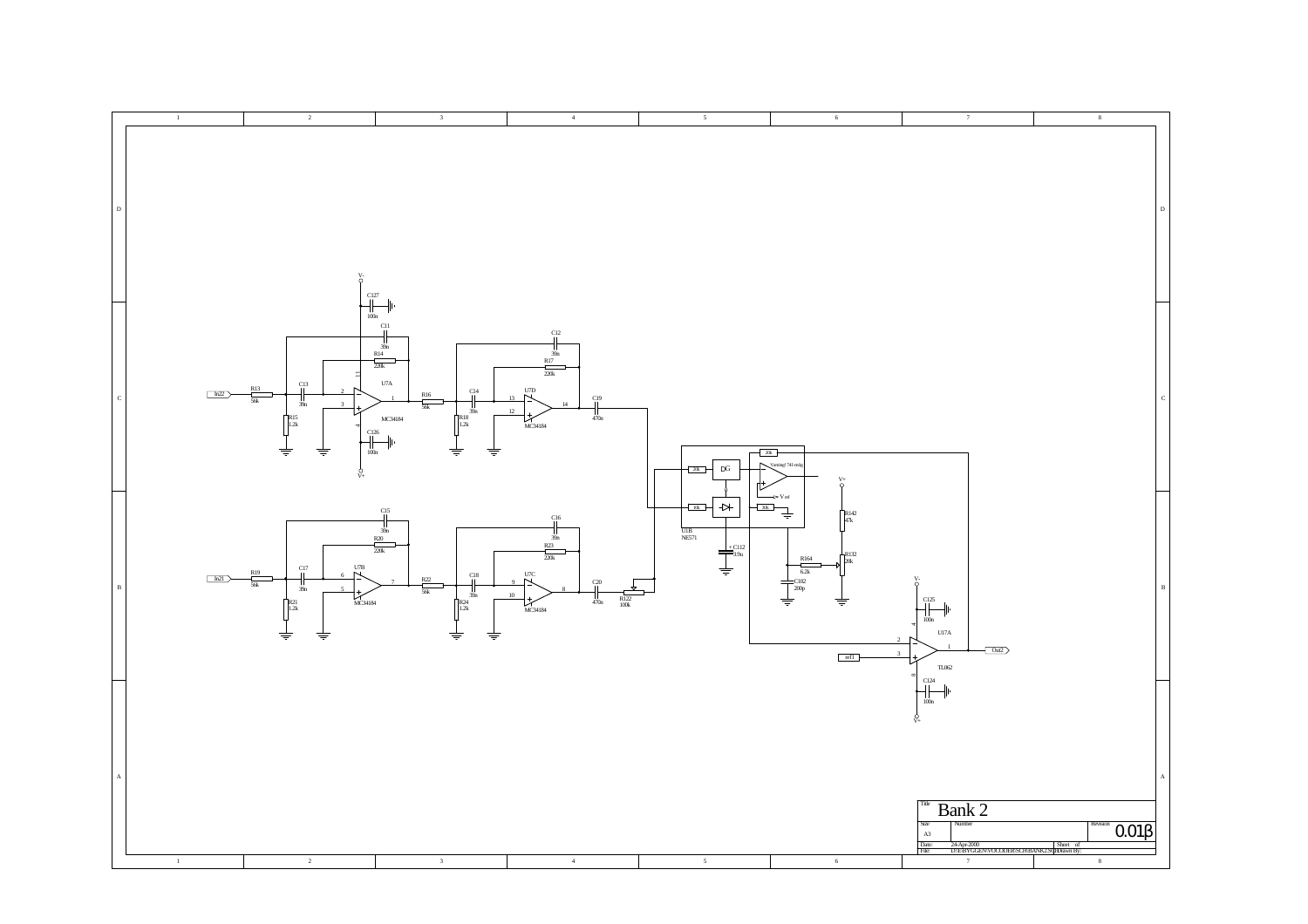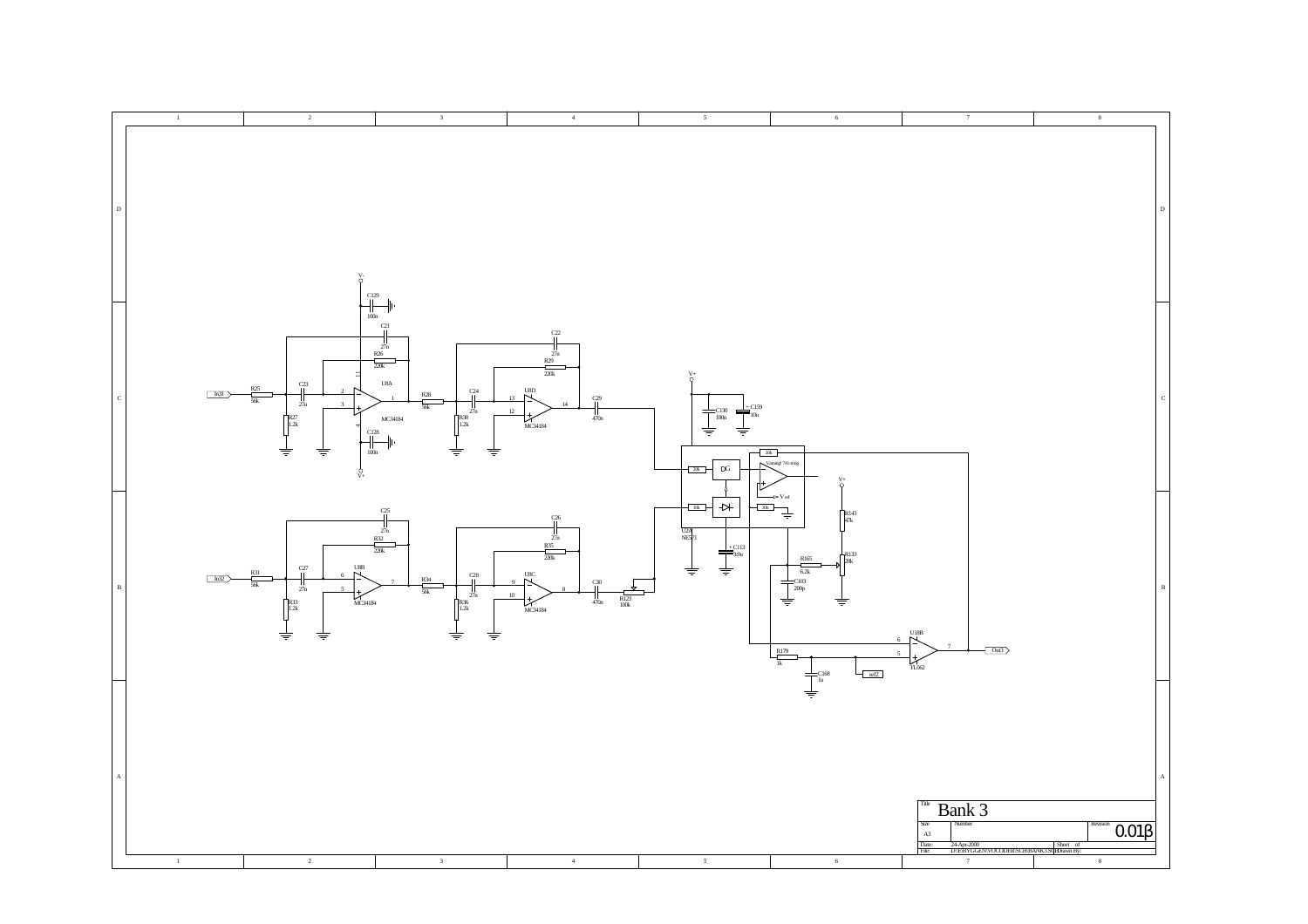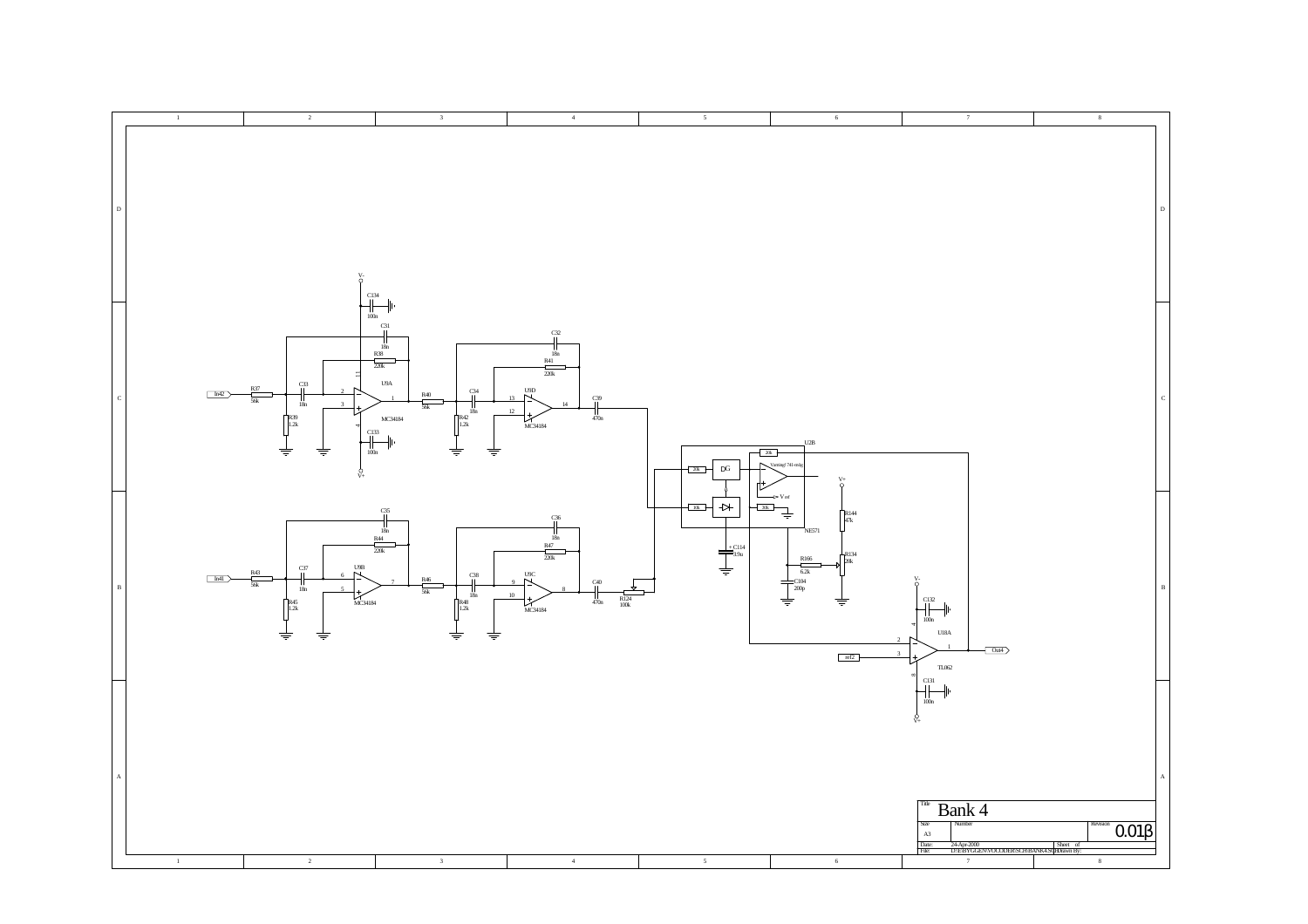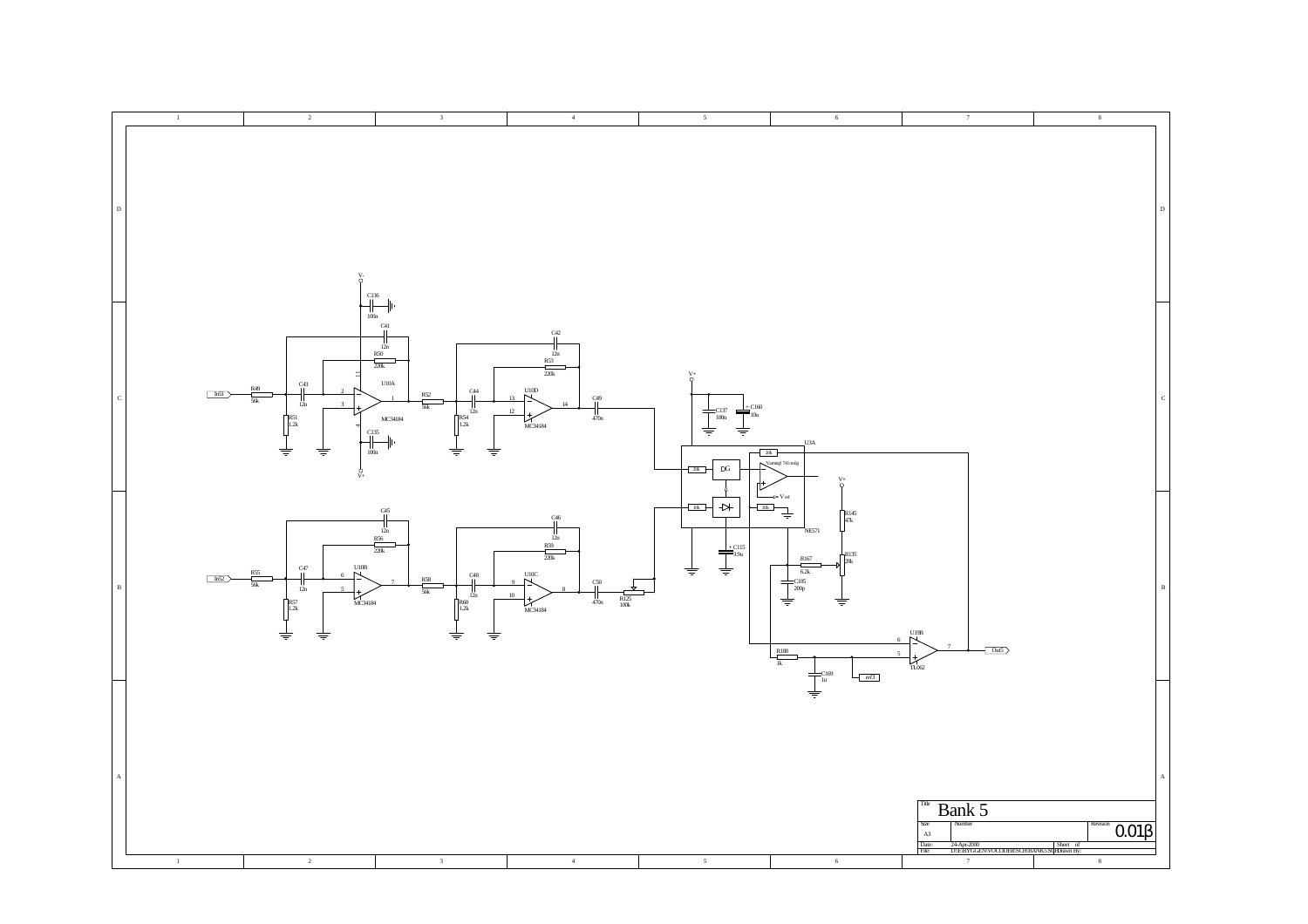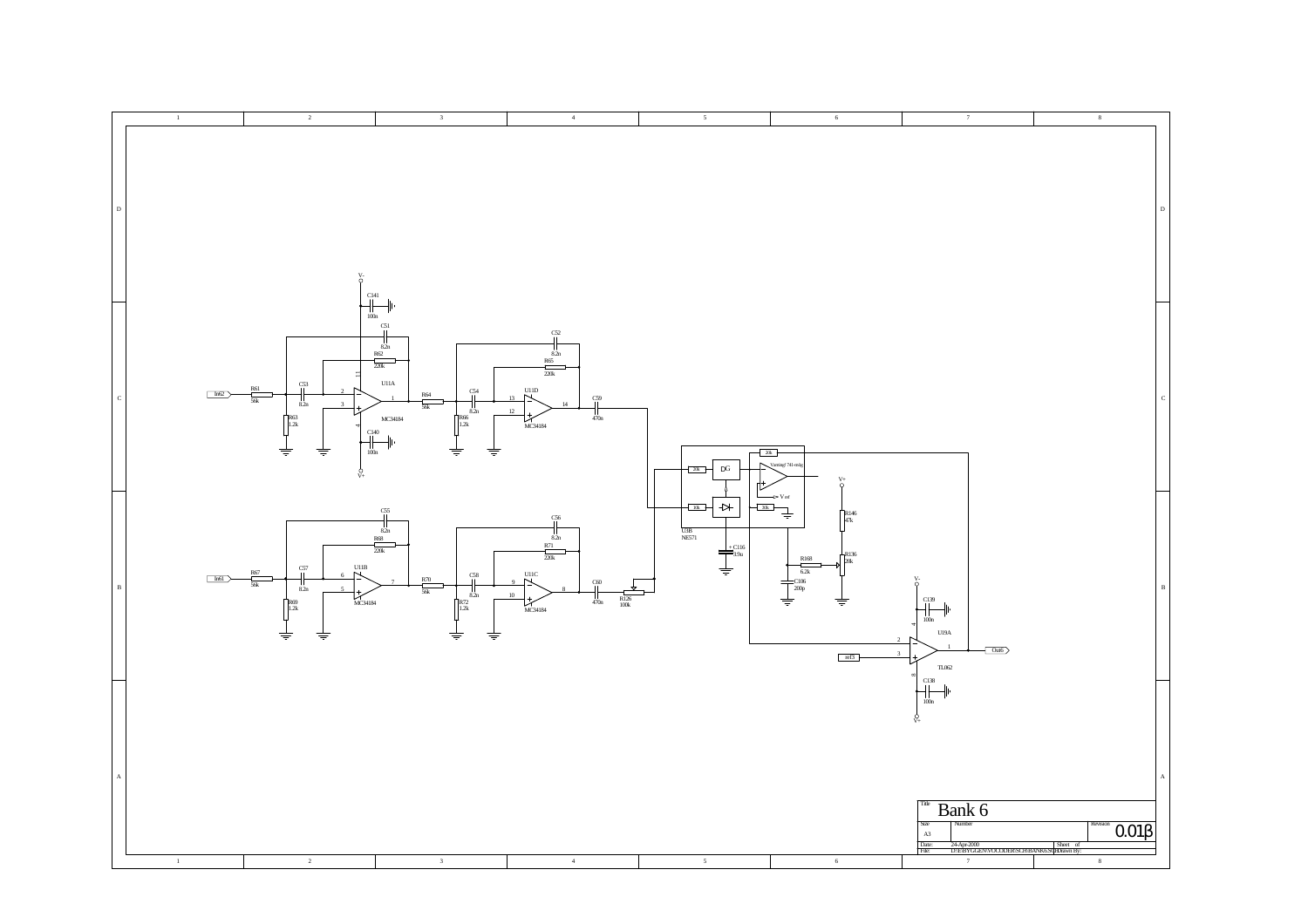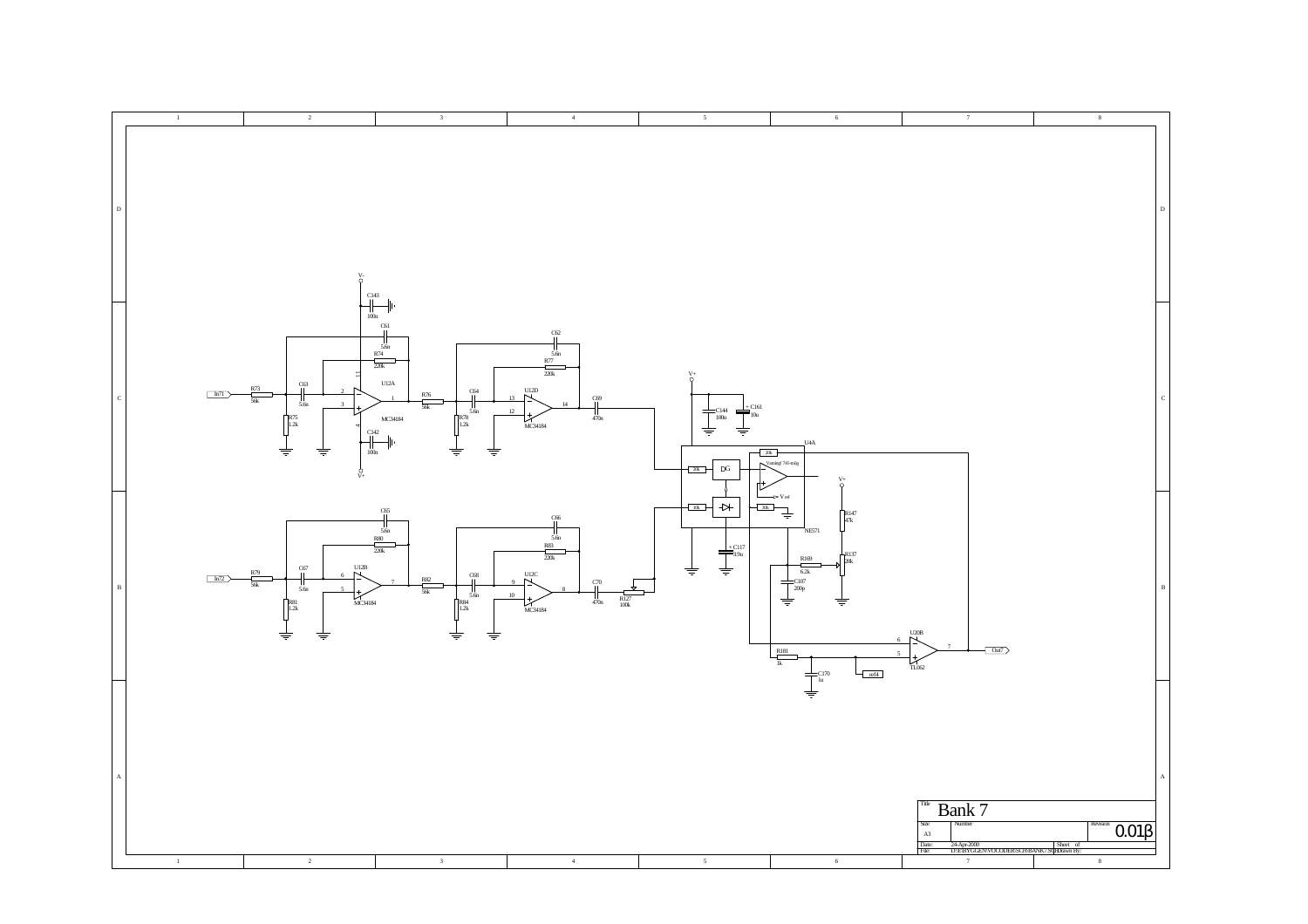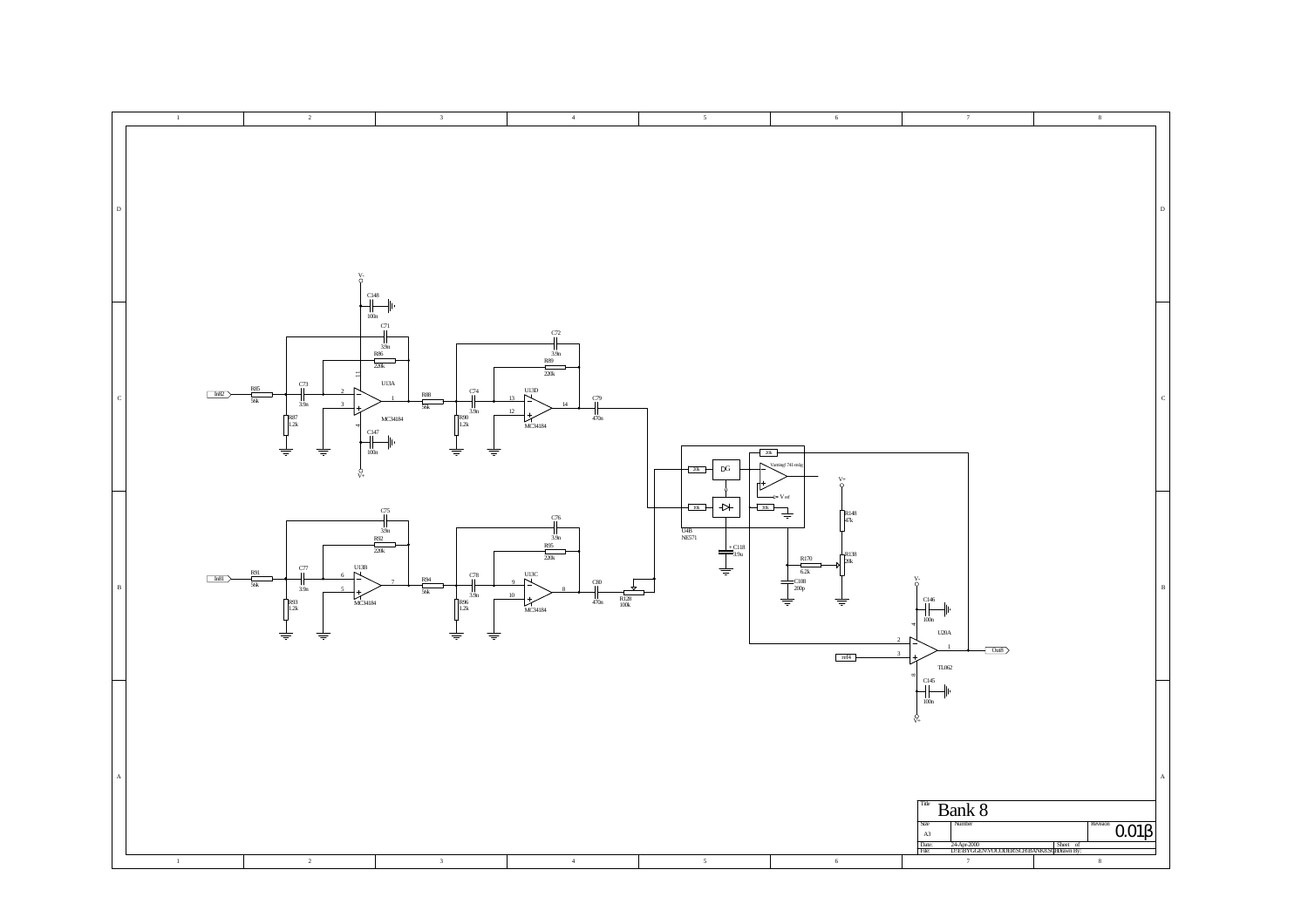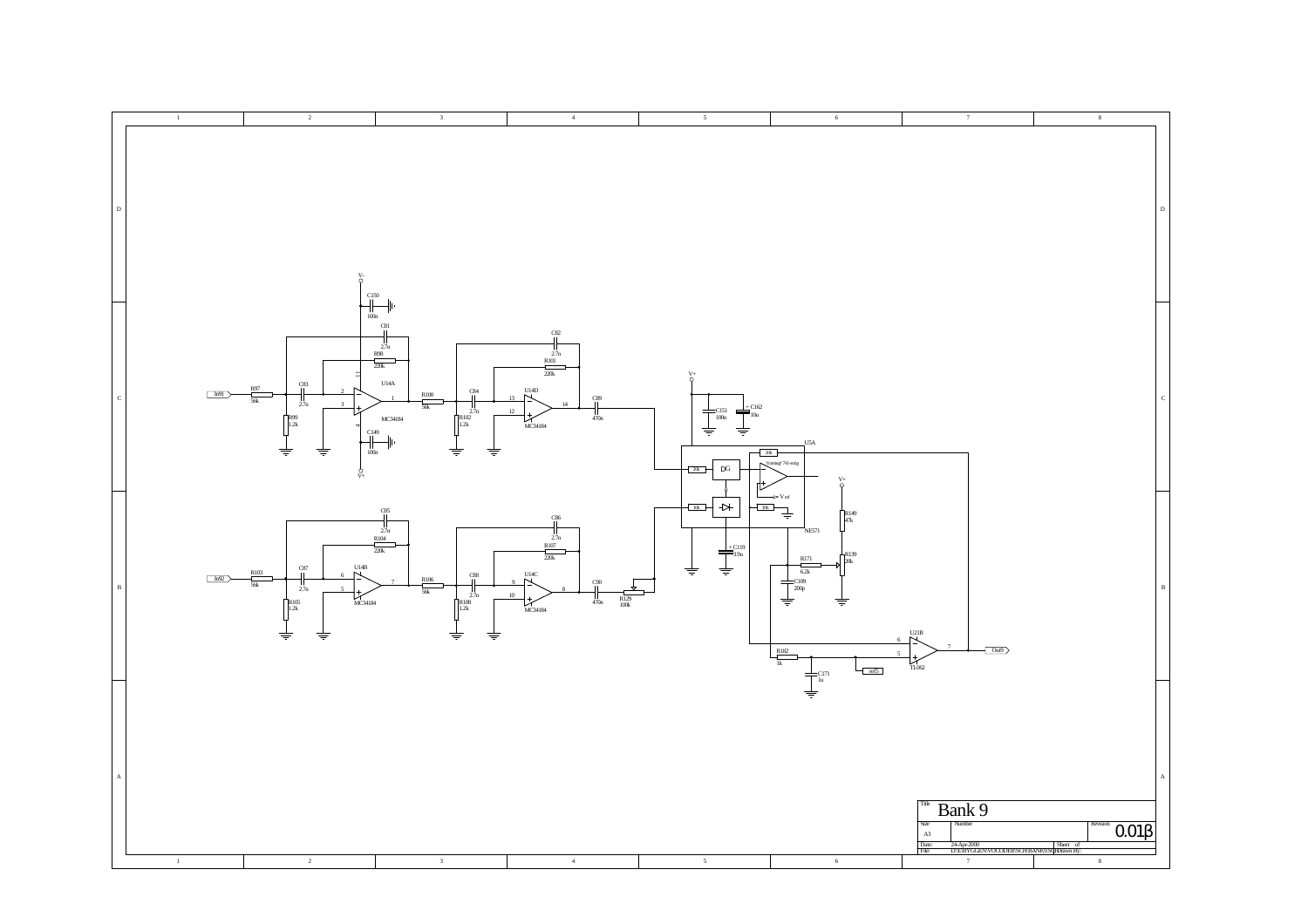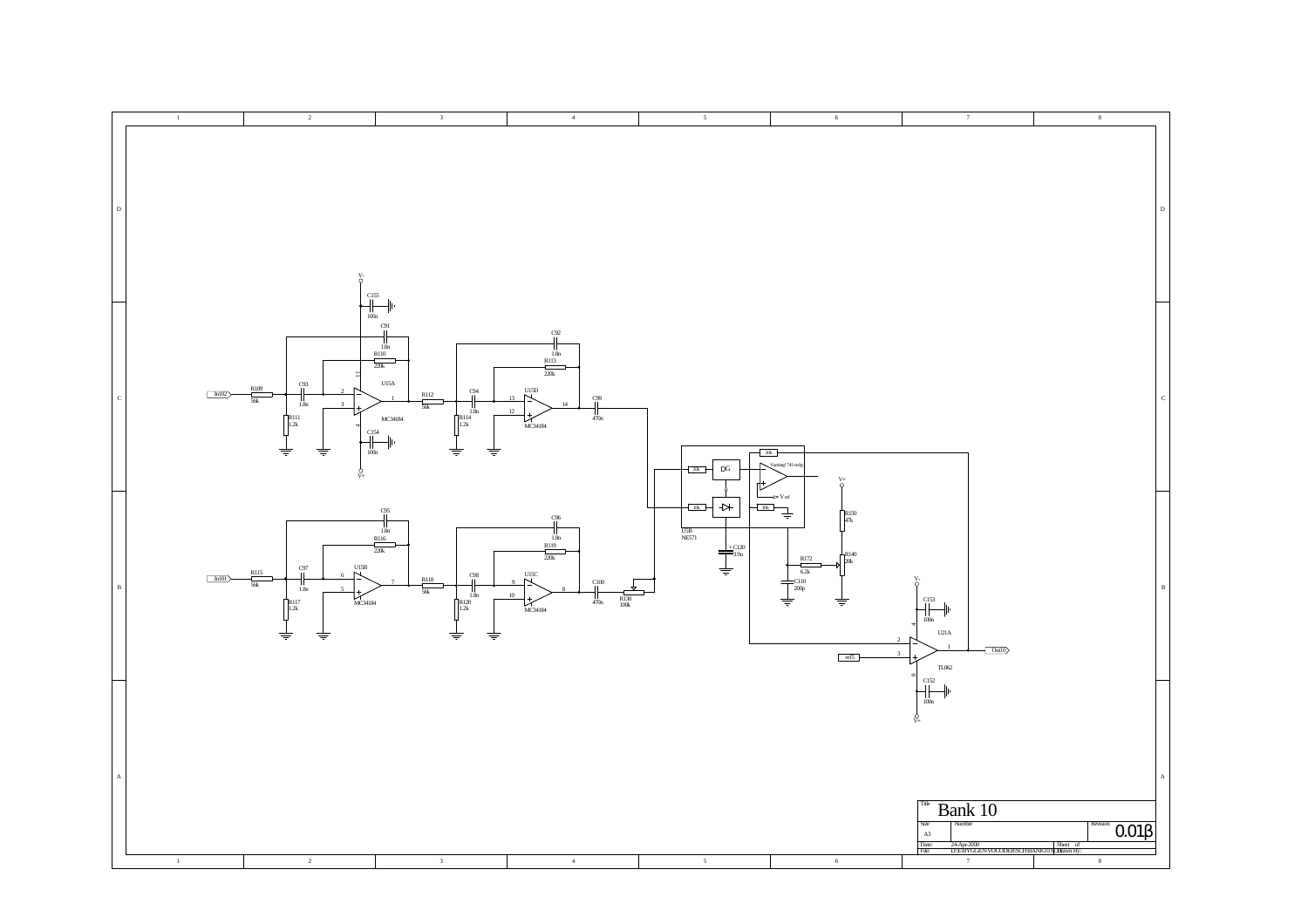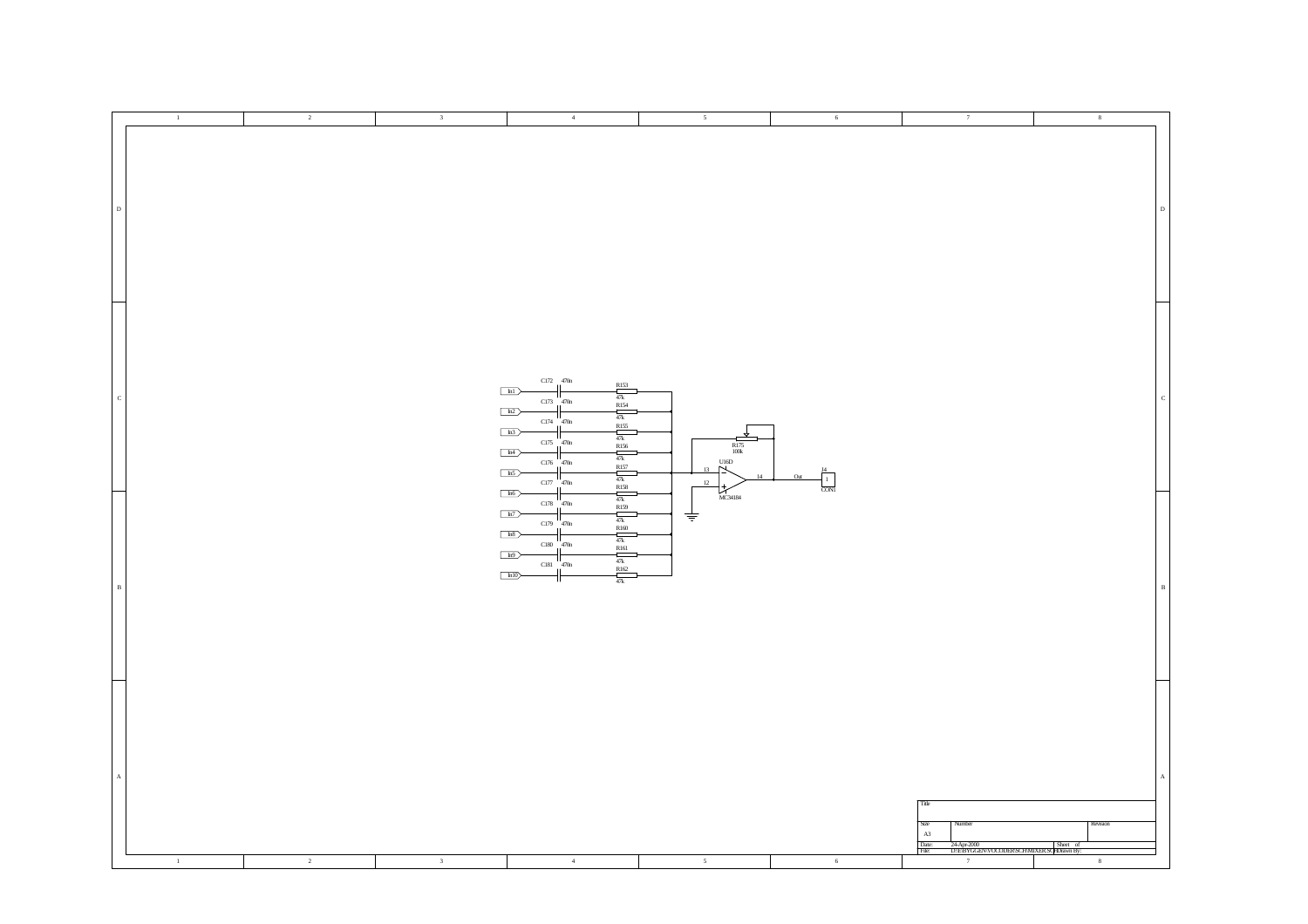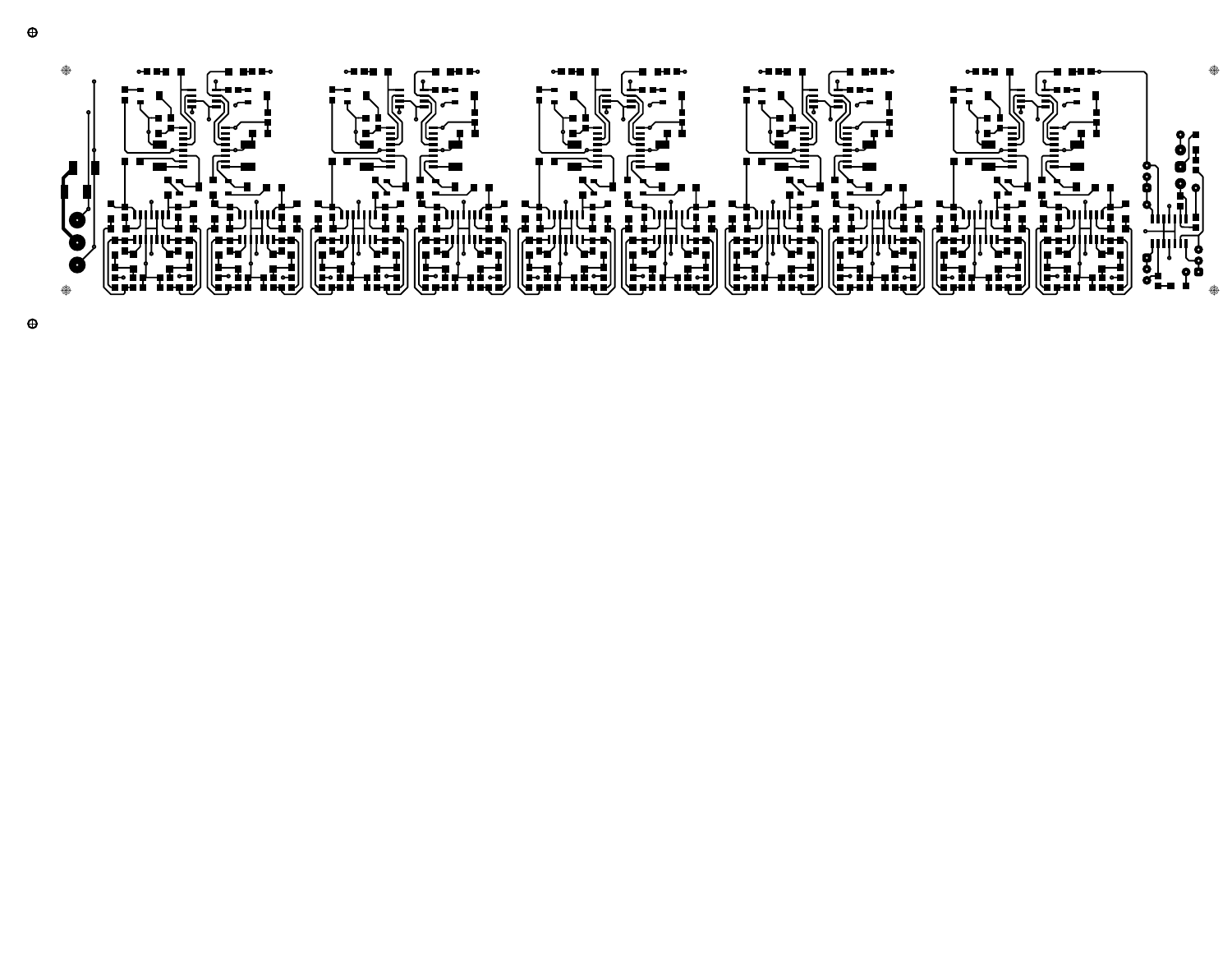

**Big Big** 

C

Ó

 $\bullet$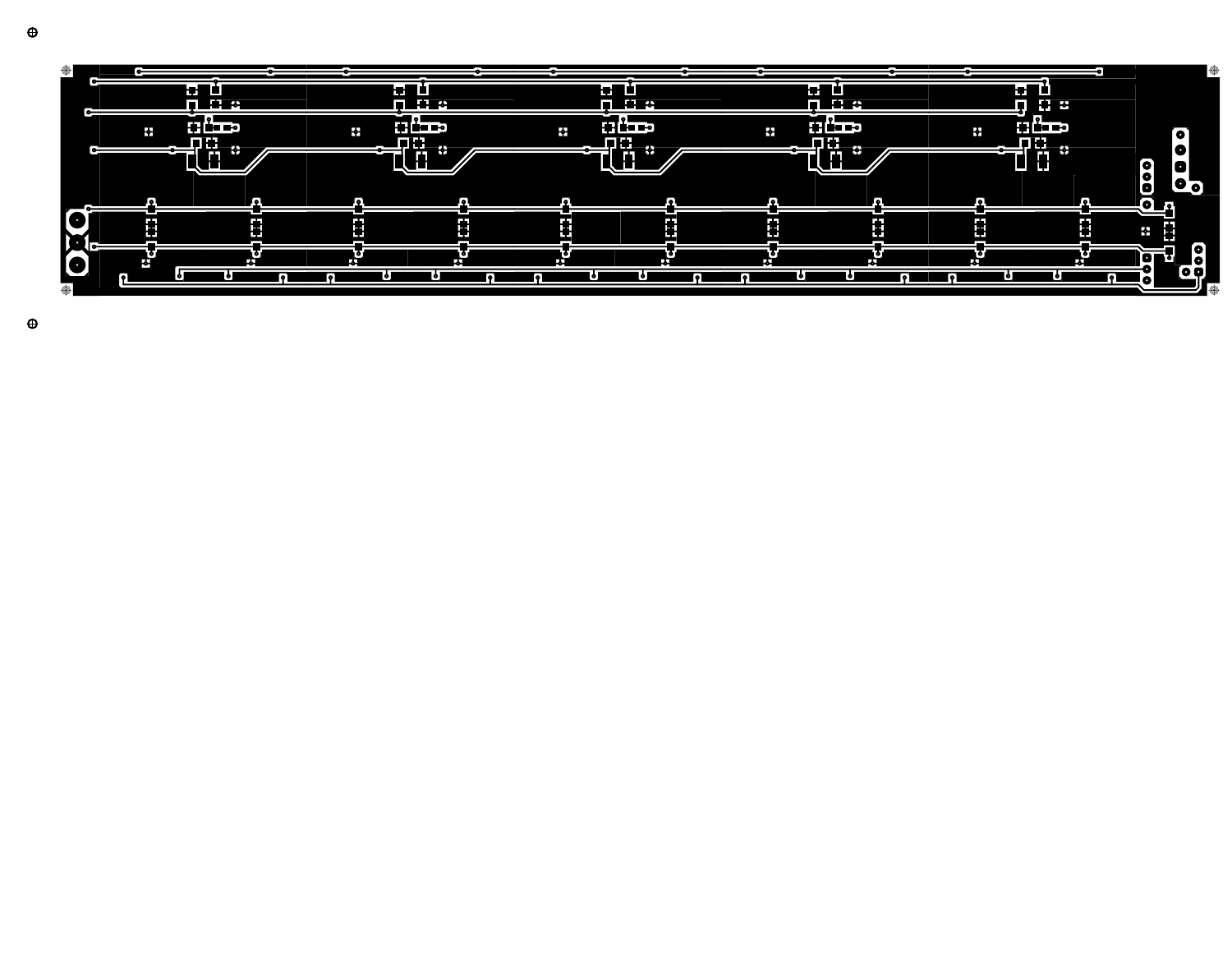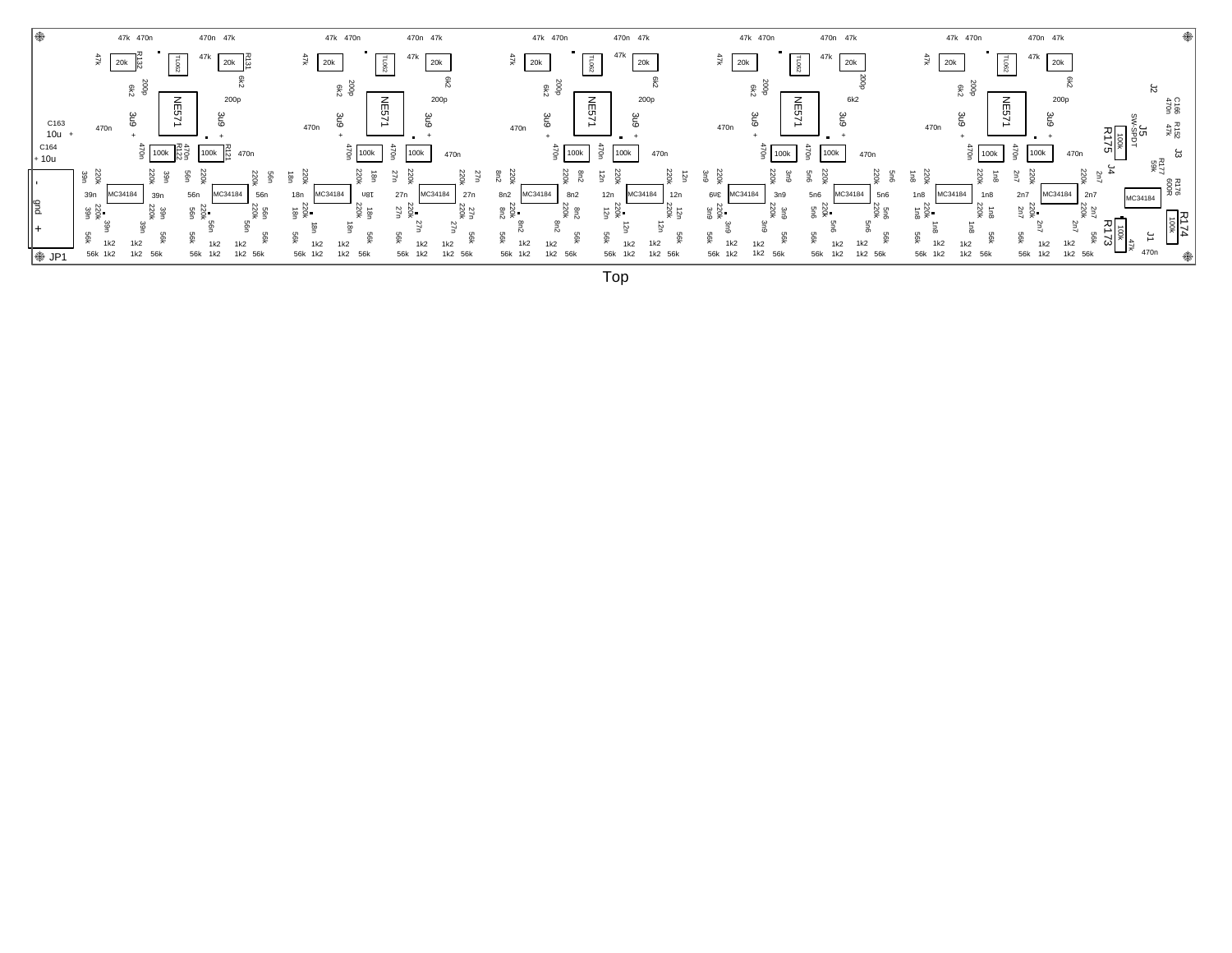

Top